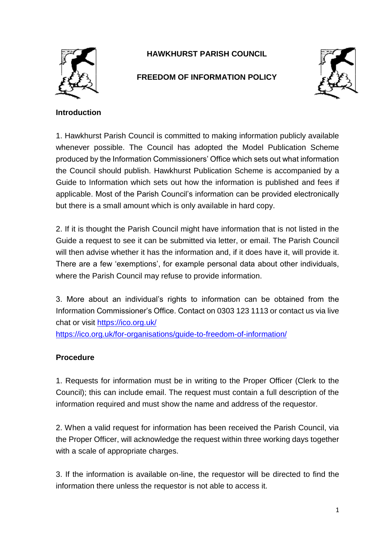

## **HAWKHURST PARISH COUNCIL**

## **FREEDOM OF INFORMATION POLICY**



## **Introduction**

1. Hawkhurst Parish Council is committed to making information publicly available whenever possible. The Council has adopted the Model Publication Scheme produced by the Information Commissioners' Office which sets out what information the Council should publish. Hawkhurst Publication Scheme is accompanied by a Guide to Information which sets out how the information is published and fees if applicable. Most of the Parish Council's information can be provided electronically but there is a small amount which is only available in hard copy.

2. If it is thought the Parish Council might have information that is not listed in the Guide a request to see it can be submitted via letter, or email. The Parish Council will then advise whether it has the information and, if it does have it, will provide it. There are a few 'exemptions', for example personal data about other individuals, where the Parish Council may refuse to provide information.

3. More about an individual's rights to information can be obtained from the Information Commissioner's Office. Contact on 0303 123 1113 or contact us via live chat or visit<https://ico.org.uk/>

<https://ico.org.uk/for-organisations/guide-to-freedom-of-information/>

## **Procedure**

1. Requests for information must be in writing to the Proper Officer (Clerk to the Council); this can include email. The request must contain a full description of the information required and must show the name and address of the requestor.

2. When a valid request for information has been received the Parish Council, via the Proper Officer, will acknowledge the request within three working days together with a scale of appropriate charges.

3. If the information is available on-line, the requestor will be directed to find the information there unless the requestor is not able to access it.